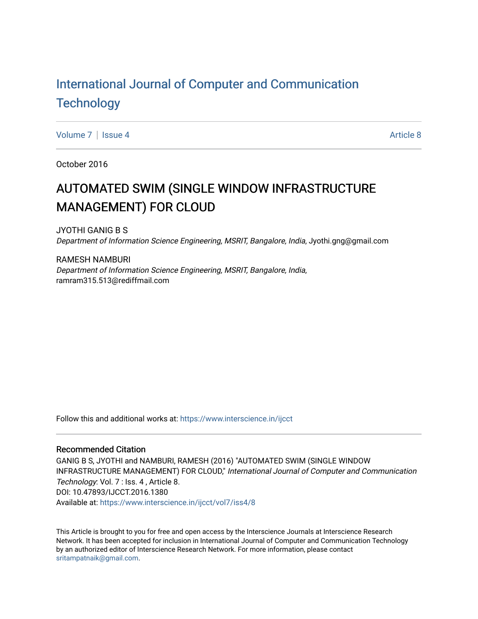# [International Journal of Computer and Communication](https://www.interscience.in/ijcct)  **Technology**

[Volume 7](https://www.interscience.in/ijcct/vol7) | [Issue 4](https://www.interscience.in/ijcct/vol7/iss4) Article 8

October 2016

# AUTOMATED SWIM (SINGLE WINDOW INFRASTRUCTURE MANAGEMENT) FOR CLOUD

JYOTHI GANIG B S Department of Information Science Engineering, MSRIT, Bangalore, India, Jyothi.gng@gmail.com

RAMESH NAMBURI Department of Information Science Engineering, MSRIT, Bangalore, India, ramram315.513@rediffmail.com

Follow this and additional works at: [https://www.interscience.in/ijcct](https://www.interscience.in/ijcct?utm_source=www.interscience.in%2Fijcct%2Fvol7%2Fiss4%2F8&utm_medium=PDF&utm_campaign=PDFCoverPages)

#### Recommended Citation

GANIG B S, JYOTHI and NAMBURI, RAMESH (2016) "AUTOMATED SWIM (SINGLE WINDOW INFRASTRUCTURE MANAGEMENT) FOR CLOUD," International Journal of Computer and Communication Technology: Vol. 7 : Iss. 4 , Article 8. DOI: 10.47893/IJCCT.2016.1380 Available at: [https://www.interscience.in/ijcct/vol7/iss4/8](https://www.interscience.in/ijcct/vol7/iss4/8?utm_source=www.interscience.in%2Fijcct%2Fvol7%2Fiss4%2F8&utm_medium=PDF&utm_campaign=PDFCoverPages)

This Article is brought to you for free and open access by the Interscience Journals at Interscience Research Network. It has been accepted for inclusion in International Journal of Computer and Communication Technology by an authorized editor of Interscience Research Network. For more information, please contact [sritampatnaik@gmail.com](mailto:sritampatnaik@gmail.com).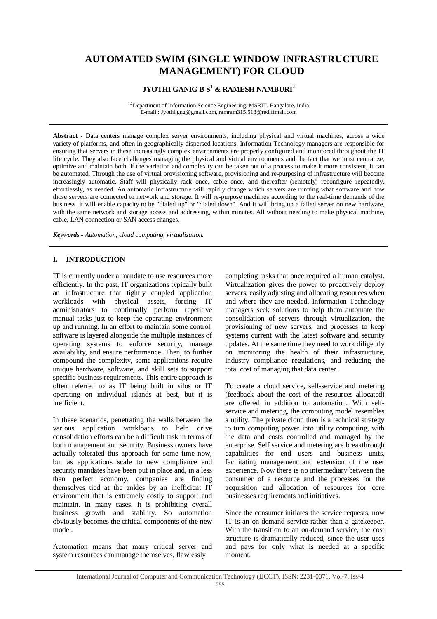### **AUTOMATED SWIM (SINGLE WINDOW INFRASTRUCTURE MANAGEMENT) FOR CLOUD**

### **JYOTHI GANIG B S<sup>1</sup> & RAMESH NAMBURI<sup>2</sup>**

<sup>1,2</sup>Department of Information Science Engineering, MSRIT, Bangalore, India E-mail : Jyothi.gng@gmail.com, ramram315.513@rediffmail.com

**Abstract -** Data centers manage complex server environments, including physical and virtual machines, across a wide variety of platforms, and often in geographically dispersed locations. Information Technology managers are responsible for ensuring that servers in these increasingly complex environments are properly configured and monitored throughout the IT life cycle. They also face challenges managing the physical and virtual environments and the fact that we must centralize, optimize and maintain both. If the variation and complexity can be taken out of a process to make it more consistent, it can be automated. Through the use of virtual provisioning software, provisioning and re-purposing of infrastructure will become increasingly automatic. Staff will physically rack once, cable once, and thereafter (remotely) reconfigure repeatedly, effortlessly, as needed. An automatic infrastructure will rapidly change which servers are running what software and how those servers are connected to network and storage. It will re-purpose machines according to the real-time demands of the business. It will enable capacity to be "dialed up" or "dialed down". And it will bring up a failed server on new hardware, with the same network and storage access and addressing, within minutes. All without needing to make physical machine, cable, LAN connection or SAN access changes.

*Keywords - Automation, cloud computing, virtualization.*

#### **I. INTRODUCTION**

IT is currently under a mandate to use resources more efficiently. In the past, IT organizations typically built an infrastructure that tightly coupled application<br>workloads with physical assets. forcing IT physical assets, forcing IT administrators to continually perform repetitive manual tasks just to keep the operating environment up and running. In an effort to maintain some control, software is layered alongside the multiple instances of operating systems to enforce security, manage availability, and ensure performance. Then, to further compound the complexity, some applications require unique hardware, software, and skill sets to support specific business requirements. This entire approach is often referred to as IT being built in silos or IT operating on individual islands at best, but it is inefficient.

In these scenarios, penetrating the walls between the various application workloads to help drive consolidation efforts can be a difficult task in terms of both management and security. Business owners have actually tolerated this approach for some time now, but as applications scale to new compliance and security mandates have been put in place and, in a less than perfect economy, companies are finding themselves tied at the ankles by an inefficient IT environment that is extremely costly to support and maintain. In many cases, it is prohibiting overall business growth and stability. So automation obviously becomes the critical components of the new model.

Automation means that many critical server and system resources can manage themselves, flawlessly

completing tasks that once required a human catalyst. Virtualization gives the power to proactively deploy servers, easily adjusting and allocating resources when and where they are needed. Information Technology managers seek solutions to help them automate the consolidation of servers through virtualization, the provisioning of new servers, and processes to keep systems current with the latest software and security updates. At the same time they need to work diligently on monitoring the health of their infrastructure, industry compliance regulations, and reducing the total cost of managing that data center.

To create a cloud service, self-service and metering (feedback about the cost of the resources allocated) are offered in addition to automation. With selfservice and metering, the computing model resembles a utility. The private cloud then is a technical strategy to turn computing power into utility computing, with the data and costs controlled and managed by the enterprise. Self service and metering are breakthrough capabilities for end users and business units, facilitating management and extension of the user experience. Now there is no intermediary between the consumer of a resource and the processes for the acquisition and allocation of resources for core businesses requirements and initiatives.

Since the consumer initiates the service requests, now IT is an on-demand service rather than a gatekeeper. With the transition to an on-demand service, the cost structure is dramatically reduced, since the user uses and pays for only what is needed at a specific moment.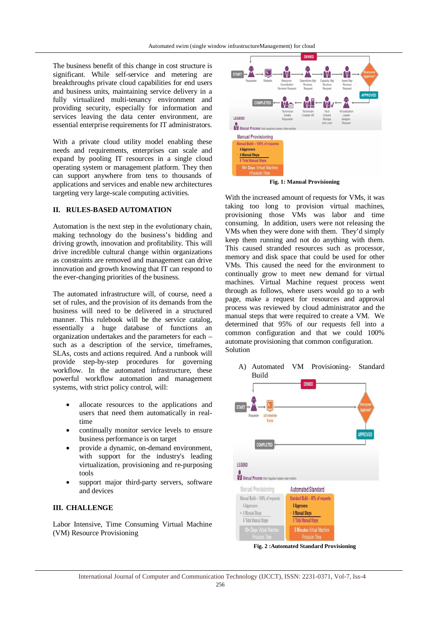The business benefit of this change in cost structure is significant. While self-service and metering are breakthroughs private cloud capabilities for end users and business units, maintaining service delivery in a fully virtualized multi-tenancy environment and providing security, especially for information and services leaving the data center environment, are essential enterprise requirements for IT administrators.

With a private cloud utility model enabling these needs and requirements, enterprises can scale and expand by pooling IT resources in a single cloud operating system or management platform. They then can support anywhere from tens to thousands of applications and services and enable new architectures targeting very large-scale computing activities.

#### **II. RULES-BASED AUTOMATION**

Automation is the next step in the evolutionary chain, making technology do the business's bidding and driving growth, innovation and profitability. This will drive incredible cultural change within organizations as constraints are removed and management can drive innovation and growth knowing that IT can respond to the ever-changing priorities of the business.

The automated infrastructure will, of course, need a set of rules, and the provision of its demands from the business will need to be delivered in a structured manner. This rulebook will be the service catalog, essentially a huge database of functions an organization undertakes and the parameters for each – such as a description of the service, timeframes, SLAs, costs and actions required. And a runbook will provide step-by-step procedures for governing workflow. In the automated infrastructure, these powerful workflow automation and management systems, with strict policy control, will:

- allocate resources to the applications and users that need them automatically in realtime
- continually monitor service levels to ensure business performance is on target
- provide a dynamic, on-demand environment, with support for the industry's leading virtualization, provisioning and re-purposing tools
- support major third-party servers, software and devices

#### **III. CHALLENGE**

Labor Intensive, Time Consuming Virtual Machine (VM) Resource Provisioning



**Fig. 1: Manual Provisioning**

With the increased amount of requests for VMs, it was taking too long to provision virtual machines, provisioning those VMs was labor and time consuming. In addition, users were not releasing the VMs when they were done with them. They'd simply keep them running and not do anything with them. This caused stranded resources such as processor, memory and disk space that could be used for other VMs. This caused the need for the environment to continually grow to meet new demand for virtual machines. Virtual Machine request process went through as follows, where users would go to a web page, make a request for resources and approval process was reviewed by cloud administrator and the manual steps that were required to create a VM. We determined that 95% of our requests fell into a common configuration and that we could 100% automate provisioning that common configuration. Solution

A) Automated VM Provisioning- Standard Build **DENIED** 



**Fig. 2 :Automated Standard Provisioning**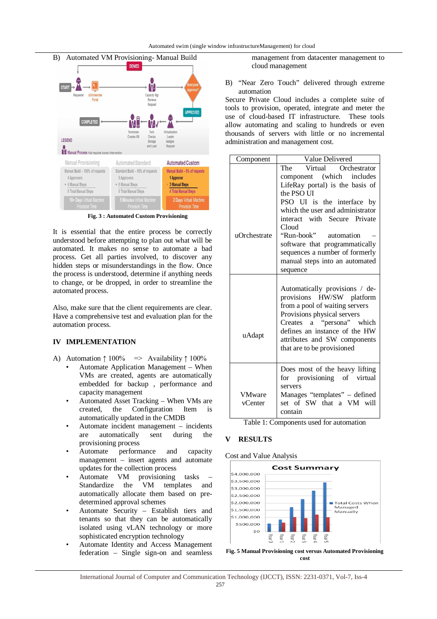

**Fig. 3 : Automated Custom Provisioning**

It is essential that the entire process be correctly understood before attempting to plan out what will be automated. It makes no sense to automate a bad process. Get all parties involved, to discover any hidden steps or misunderstandings in the flow. Once the process is understood, determine if anything needs to change, or be dropped, in order to streamline the automated process.

Also, make sure that the client requirements are clear. Have a comprehensive test and evaluation plan for the automation process.

#### **IV IMPLEMENTATION**

- A) Automation  $\uparrow 100\%$   $\Rightarrow$  Availability  $\uparrow 100\%$ 
	- Automate Application Management When VMs are created, agents are automatically embedded for backup , performance and capacity management
	- Automated Asset Tracking When VMs are created, the Configuration Item is automatically updated in the CMDB
	- Automate incident management incidents are automatically sent during the provisioning process
	- Automate performance and capacity management – insert agents and automate updates for the collection process<br>Automate VM provisioning
	- Automate VM provisioning tasks Standardize the VM templates and automatically allocate them based on predetermined approval schemes
	- Automate Security Establish tiers and tenants so that they can be automatically isolated using vLAN technology or more sophisticated encryption technology
	- Automate Identity and Access Management federation – Single sign-on and seamless

management from datacenter management to cloud management

B) "Near Zero Touch" delivered through extreme automation

Secure Private Cloud includes a complete suite of tools to provision, operated, integrate and meter the use of cloud-based IT infrastructure. These tools allow automating and scaling to hundreds or even thousands of servers with little or no incremental administration and management cost.

| Component         | Value Delivered                                                                                                                                                                                                                                          |
|-------------------|----------------------------------------------------------------------------------------------------------------------------------------------------------------------------------------------------------------------------------------------------------|
|                   | Virtual Orchestrator<br>The                                                                                                                                                                                                                              |
|                   | component (which includes                                                                                                                                                                                                                                |
|                   | LifeRay portal) is the basis of                                                                                                                                                                                                                          |
|                   | the PSO UI                                                                                                                                                                                                                                               |
|                   | PSO UI is the interface by                                                                                                                                                                                                                               |
|                   | which the user and administrator                                                                                                                                                                                                                         |
|                   | interact with Secure Private                                                                                                                                                                                                                             |
|                   | Cloud                                                                                                                                                                                                                                                    |
| uOrchestrate      | "Run-book"<br>automation                                                                                                                                                                                                                                 |
|                   | software that programmatically<br>sequences a number of formerly                                                                                                                                                                                         |
|                   | manual steps into an automated                                                                                                                                                                                                                           |
|                   | sequence                                                                                                                                                                                                                                                 |
|                   |                                                                                                                                                                                                                                                          |
| uAdapt            | Automatically provisions / de-<br>provisions HW/SW platform<br>from a pool of waiting servers<br>Provisions physical servers<br>Creates a "persona" which<br>defines an instance of the HW<br>attributes and SW components<br>that are to be provisioned |
| VMware<br>vCenter | Does most of the heavy lifting<br>for provisioning of virtual<br>servers<br>Manages "templates" - defined<br>set of SW that a VM will<br>contain                                                                                                         |

Table 1: Components used for automation

### **V RESULTS**

Cost and Value Analysis



**Fig. 5 Manual Provisioning cost versus Automated Provisioning cost**